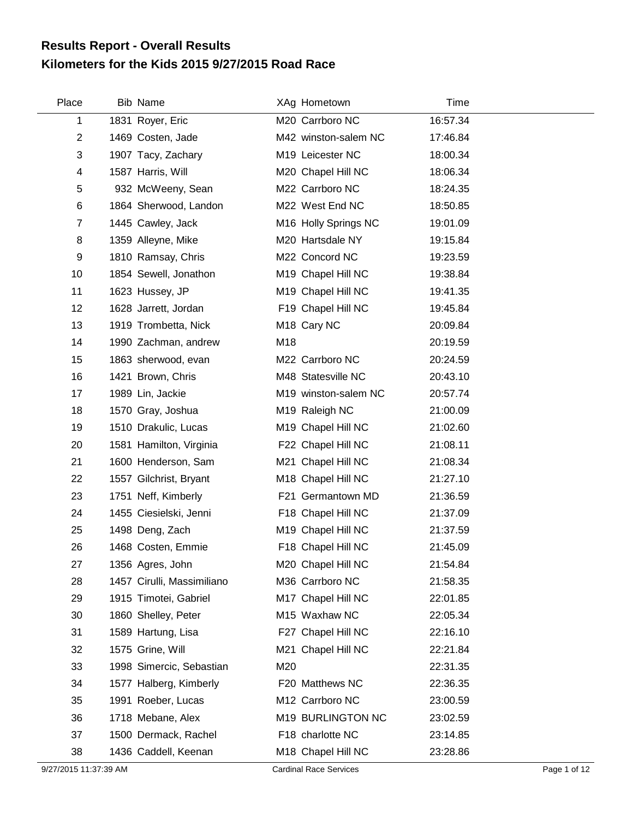## **Kilometers for the Kids 2015 9/27/2015 Road Race Results Report - Overall Results**

| Place          | <b>Bib Name</b>            |     | XAg Hometown            | Time     |
|----------------|----------------------------|-----|-------------------------|----------|
| 1              | 1831 Royer, Eric           |     | M20 Carrboro NC         | 16:57.34 |
| $\overline{2}$ | 1469 Costen, Jade          |     | M42 winston-salem NC    | 17:46.84 |
| 3              | 1907 Tacy, Zachary         |     | M19 Leicester NC        | 18:00.34 |
| 4              | 1587 Harris, Will          |     | M20 Chapel Hill NC      | 18:06.34 |
| 5              | 932 McWeeny, Sean          |     | M22 Carrboro NC         | 18:24.35 |
| 6              | 1864 Sherwood, Landon      |     | M22 West End NC         | 18:50.85 |
| $\overline{7}$ | 1445 Cawley, Jack          |     | M16 Holly Springs NC    | 19:01.09 |
| 8              | 1359 Alleyne, Mike         |     | M20 Hartsdale NY        | 19:15.84 |
| 9              | 1810 Ramsay, Chris         |     | M22 Concord NC          | 19:23.59 |
| 10             | 1854 Sewell, Jonathon      |     | M19 Chapel Hill NC      | 19:38.84 |
| 11             | 1623 Hussey, JP            |     | M19 Chapel Hill NC      | 19:41.35 |
| 12             | 1628 Jarrett, Jordan       |     | F19 Chapel Hill NC      | 19:45.84 |
| 13             | 1919 Trombetta, Nick       |     | M <sub>18</sub> Cary NC | 20:09.84 |
| 14             | 1990 Zachman, andrew       | M18 |                         | 20:19.59 |
| 15             | 1863 sherwood, evan        |     | M22 Carrboro NC         | 20:24.59 |
| 16             | 1421 Brown, Chris          |     | M48 Statesville NC      | 20:43.10 |
| 17             | 1989 Lin, Jackie           |     | M19 winston-salem NC    | 20:57.74 |
| 18             | 1570 Gray, Joshua          |     | M19 Raleigh NC          | 21:00.09 |
| 19             | 1510 Drakulic, Lucas       |     | M19 Chapel Hill NC      | 21:02.60 |
| 20             | 1581 Hamilton, Virginia    |     | F22 Chapel Hill NC      | 21:08.11 |
| 21             | 1600 Henderson, Sam        |     | M21 Chapel Hill NC      | 21:08.34 |
| 22             | 1557 Gilchrist, Bryant     |     | M18 Chapel Hill NC      | 21:27.10 |
| 23             | 1751 Neff, Kimberly        |     | F21 Germantown MD       | 21:36.59 |
| 24             | 1455 Ciesielski, Jenni     |     | F18 Chapel Hill NC      | 21:37.09 |
| 25             | 1498 Deng, Zach            |     | M19 Chapel Hill NC      | 21:37.59 |
| 26             | 1468 Costen, Emmie         |     | F18 Chapel Hill NC      | 21:45.09 |
| 27             | 1356 Agres, John           |     | M20 Chapel Hill NC      | 21:54.84 |
| 28             | 1457 Cirulli, Massimiliano |     | M36 Carrboro NC         | 21:58.35 |
| 29             | 1915 Timotei, Gabriel      |     | M17 Chapel Hill NC      | 22:01.85 |
| 30             | 1860 Shelley, Peter        |     | M15 Waxhaw NC           | 22:05.34 |
| 31             | 1589 Hartung, Lisa         |     | F27 Chapel Hill NC      | 22:16.10 |
| 32             | 1575 Grine, Will           |     | M21 Chapel Hill NC      | 22:21.84 |
| 33             | 1998 Simercic, Sebastian   | M20 |                         | 22:31.35 |
| 34             | 1577 Halberg, Kimberly     |     | F20 Matthews NC         | 22:36.35 |
| 35             | 1991 Roeber, Lucas         |     | M12 Carrboro NC         | 23:00.59 |
| 36             | 1718 Mebane, Alex          |     | M19 BURLINGTON NC       | 23:02.59 |
| 37             | 1500 Dermack, Rachel       |     | F18 charlotte NC        | 23:14.85 |
| 38             | 1436 Caddell, Keenan       |     | M18 Chapel Hill NC      | 23:28.86 |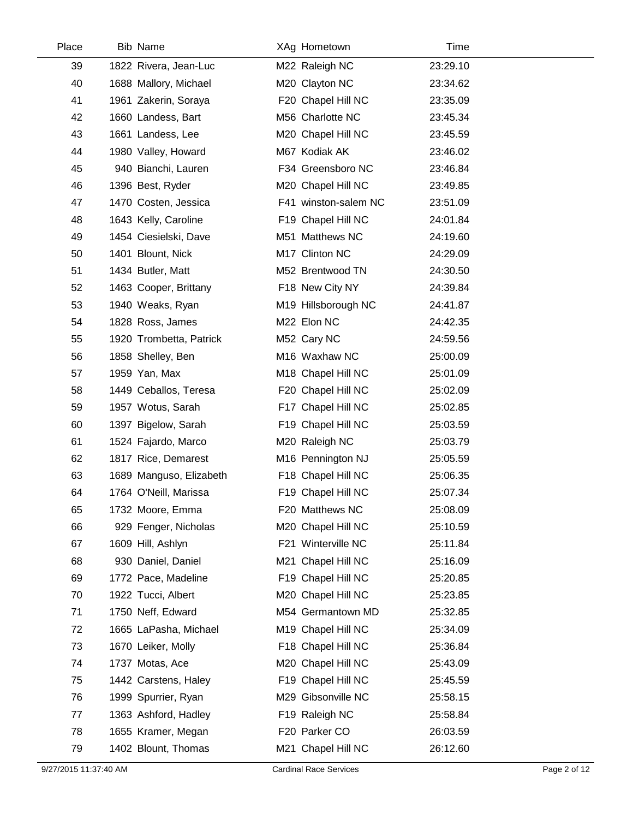| Place | <b>Bib Name</b>         | XAg Hometown         | Time     |
|-------|-------------------------|----------------------|----------|
| 39    | 1822 Rivera, Jean-Luc   | M22 Raleigh NC       | 23:29.10 |
| 40    | 1688 Mallory, Michael   | M20 Clayton NC       | 23:34.62 |
| 41    | 1961 Zakerin, Soraya    | F20 Chapel Hill NC   | 23:35.09 |
| 42    | 1660 Landess, Bart      | M56 Charlotte NC     | 23:45.34 |
| 43    | 1661 Landess, Lee       | M20 Chapel Hill NC   | 23:45.59 |
| 44    | 1980 Valley, Howard     | M67 Kodiak AK        | 23:46.02 |
| 45    | 940 Bianchi, Lauren     | F34 Greensboro NC    | 23:46.84 |
| 46    | 1396 Best, Ryder        | M20 Chapel Hill NC   | 23:49.85 |
| 47    | 1470 Costen, Jessica    | F41 winston-salem NC | 23:51.09 |
| 48    | 1643 Kelly, Caroline    | F19 Chapel Hill NC   | 24:01.84 |
| 49    | 1454 Ciesielski, Dave   | M51 Matthews NC      | 24:19.60 |
| 50    | 1401 Blount, Nick       | M17 Clinton NC       | 24:29.09 |
| 51    | 1434 Butler, Matt       | M52 Brentwood TN     | 24:30.50 |
| 52    | 1463 Cooper, Brittany   | F18 New City NY      | 24:39.84 |
| 53    | 1940 Weaks, Ryan        | M19 Hillsborough NC  | 24:41.87 |
| 54    | 1828 Ross, James        | M22 Elon NC          | 24:42.35 |
| 55    | 1920 Trombetta, Patrick | M52 Cary NC          | 24:59.56 |
| 56    | 1858 Shelley, Ben       | M16 Waxhaw NC        | 25:00.09 |
| 57    | 1959 Yan, Max           | M18 Chapel Hill NC   | 25:01.09 |
| 58    | 1449 Ceballos, Teresa   | F20 Chapel Hill NC   | 25:02.09 |
| 59    | 1957 Wotus, Sarah       | F17 Chapel Hill NC   | 25:02.85 |
| 60    | 1397 Bigelow, Sarah     | F19 Chapel Hill NC   | 25:03.59 |
| 61    | 1524 Fajardo, Marco     | M20 Raleigh NC       | 25:03.79 |
| 62    | 1817 Rice, Demarest     | M16 Pennington NJ    | 25:05.59 |
| 63    | 1689 Manguso, Elizabeth | F18 Chapel Hill NC   | 25:06.35 |
| 64    | 1764 O'Neill, Marissa   | F19 Chapel Hill NC   | 25:07.34 |
| 65    | 1732 Moore, Emma        | F20 Matthews NC      | 25:08.09 |
| 66    | 929 Fenger, Nicholas    | M20 Chapel Hill NC   | 25:10.59 |
| 67    | 1609 Hill, Ashlyn       | F21 Winterville NC   | 25:11.84 |
| 68    | 930 Daniel, Daniel      | M21 Chapel Hill NC   | 25:16.09 |
| 69    | 1772 Pace, Madeline     | F19 Chapel Hill NC   | 25:20.85 |
| 70    | 1922 Tucci, Albert      | M20 Chapel Hill NC   | 25:23.85 |
| 71    | 1750 Neff, Edward       | M54 Germantown MD    | 25:32.85 |
| 72    | 1665 LaPasha, Michael   | M19 Chapel Hill NC   | 25:34.09 |
| 73    | 1670 Leiker, Molly      | F18 Chapel Hill NC   | 25:36.84 |
| 74    | 1737 Motas, Ace         | M20 Chapel Hill NC   | 25:43.09 |
| 75    | 1442 Carstens, Haley    | F19 Chapel Hill NC   | 25:45.59 |
| 76    | 1999 Spurrier, Ryan     | M29 Gibsonville NC   | 25:58.15 |
| 77    | 1363 Ashford, Hadley    | F19 Raleigh NC       | 25:58.84 |
| 78    | 1655 Kramer, Megan      | F20 Parker CO        | 26:03.59 |
| 79    | 1402 Blount, Thomas     | M21 Chapel Hill NC   | 26:12.60 |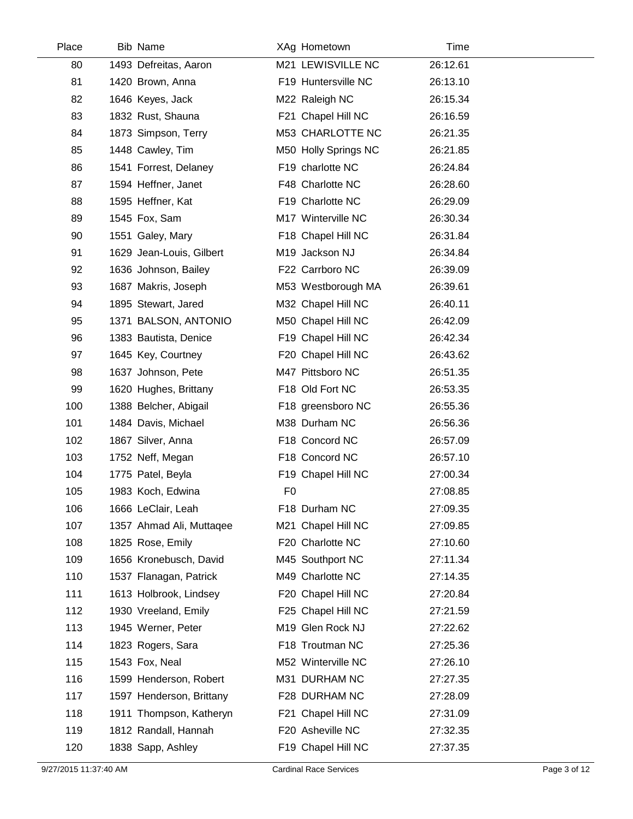| Place | <b>Bib Name</b>          | XAg Hometown         | Time     |  |
|-------|--------------------------|----------------------|----------|--|
| 80    | 1493 Defreitas, Aaron    | M21 LEWISVILLE NC    | 26:12.61 |  |
| 81    | 1420 Brown, Anna         | F19 Huntersville NC  | 26:13.10 |  |
| 82    | 1646 Keyes, Jack         | M22 Raleigh NC       | 26:15.34 |  |
| 83    | 1832 Rust, Shauna        | F21 Chapel Hill NC   | 26:16.59 |  |
| 84    | 1873 Simpson, Terry      | M53 CHARLOTTE NC     | 26:21.35 |  |
| 85    | 1448 Cawley, Tim         | M50 Holly Springs NC | 26:21.85 |  |
| 86    | 1541 Forrest, Delaney    | F19 charlotte NC     | 26:24.84 |  |
| 87    | 1594 Heffner, Janet      | F48 Charlotte NC     | 26:28.60 |  |
| 88    | 1595 Heffner, Kat        | F19 Charlotte NC     | 26:29.09 |  |
| 89    | 1545 Fox, Sam            | M17 Winterville NC   | 26:30.34 |  |
| 90    | 1551 Galey, Mary         | F18 Chapel Hill NC   | 26:31.84 |  |
| 91    | 1629 Jean-Louis, Gilbert | M19 Jackson NJ       | 26:34.84 |  |
| 92    | 1636 Johnson, Bailey     | F22 Carrboro NC      | 26:39.09 |  |
| 93    | 1687 Makris, Joseph      | M53 Westborough MA   | 26:39.61 |  |
| 94    | 1895 Stewart, Jared      | M32 Chapel Hill NC   | 26:40.11 |  |
| 95    | 1371 BALSON, ANTONIO     | M50 Chapel Hill NC   | 26:42.09 |  |
| 96    | 1383 Bautista, Denice    | F19 Chapel Hill NC   | 26:42.34 |  |
| 97    | 1645 Key, Courtney       | F20 Chapel Hill NC   | 26:43.62 |  |
| 98    | 1637 Johnson, Pete       | M47 Pittsboro NC     | 26:51.35 |  |
| 99    | 1620 Hughes, Brittany    | F18 Old Fort NC      | 26:53.35 |  |
| 100   | 1388 Belcher, Abigail    | F18 greensboro NC    | 26:55.36 |  |
| 101   | 1484 Davis, Michael      | M38 Durham NC        | 26:56.36 |  |
| 102   | 1867 Silver, Anna        | F18 Concord NC       | 26:57.09 |  |
| 103   | 1752 Neff, Megan         | F18 Concord NC       | 26:57.10 |  |
| 104   | 1775 Patel, Beyla        | F19 Chapel Hill NC   | 27:00.34 |  |
| 105   | 1983 Koch, Edwina        | F <sub>0</sub>       | 27:08.85 |  |
| 106   | 1666 LeClair, Leah       | F18 Durham NC        | 27:09.35 |  |
| 107   | 1357 Ahmad Ali, Muttaqee | M21 Chapel Hill NC   | 27:09.85 |  |
| 108   | 1825 Rose, Emily         | F20 Charlotte NC     | 27:10.60 |  |
| 109   | 1656 Kronebusch, David   | M45 Southport NC     | 27:11.34 |  |
| 110   | 1537 Flanagan, Patrick   | M49 Charlotte NC     | 27:14.35 |  |
| 111   | 1613 Holbrook, Lindsey   | F20 Chapel Hill NC   | 27:20.84 |  |
| 112   | 1930 Vreeland, Emily     | F25 Chapel Hill NC   | 27:21.59 |  |
| 113   | 1945 Werner, Peter       | M19 Glen Rock NJ     | 27:22.62 |  |
| 114   | 1823 Rogers, Sara        | F18 Troutman NC      | 27:25.36 |  |
| 115   | 1543 Fox, Neal           | M52 Winterville NC   | 27:26.10 |  |
| 116   | 1599 Henderson, Robert   | M31 DURHAM NC        | 27:27.35 |  |
| 117   | 1597 Henderson, Brittany | F28 DURHAM NC        | 27:28.09 |  |
| 118   | 1911 Thompson, Katheryn  | F21 Chapel Hill NC   | 27:31.09 |  |
| 119   | 1812 Randall, Hannah     | F20 Asheville NC     | 27:32.35 |  |
| 120   | 1838 Sapp, Ashley        | F19 Chapel Hill NC   | 27:37.35 |  |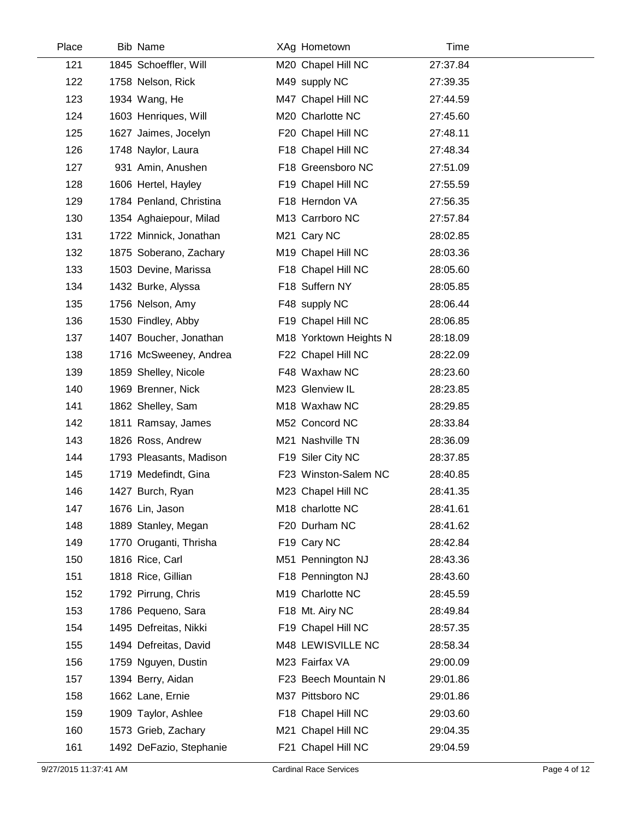| Place | <b>Bib Name</b>         | XAg Hometown           | Time     |
|-------|-------------------------|------------------------|----------|
| 121   | 1845 Schoeffler, Will   | M20 Chapel Hill NC     | 27:37.84 |
| 122   | 1758 Nelson, Rick       | M49 supply NC          | 27:39.35 |
| 123   | 1934 Wang, He           | M47 Chapel Hill NC     | 27:44.59 |
| 124   | 1603 Henriques, Will    | M20 Charlotte NC       | 27:45.60 |
| 125   | 1627 Jaimes, Jocelyn    | F20 Chapel Hill NC     | 27:48.11 |
| 126   | 1748 Naylor, Laura      | F18 Chapel Hill NC     | 27:48.34 |
| 127   | 931 Amin, Anushen       | F18 Greensboro NC      | 27:51.09 |
| 128   | 1606 Hertel, Hayley     | F19 Chapel Hill NC     | 27:55.59 |
| 129   | 1784 Penland, Christina | F18 Herndon VA         | 27:56.35 |
| 130   | 1354 Aghaiepour, Milad  | M13 Carrboro NC        | 27:57.84 |
| 131   | 1722 Minnick, Jonathan  | M21 Cary NC            | 28:02.85 |
| 132   | 1875 Soberano, Zachary  | M19 Chapel Hill NC     | 28:03.36 |
| 133   | 1503 Devine, Marissa    | F18 Chapel Hill NC     | 28:05.60 |
| 134   | 1432 Burke, Alyssa      | F18 Suffern NY         | 28:05.85 |
| 135   | 1756 Nelson, Amy        | F48 supply NC          | 28:06.44 |
| 136   | 1530 Findley, Abby      | F19 Chapel Hill NC     | 28:06.85 |
| 137   | 1407 Boucher, Jonathan  | M18 Yorktown Heights N | 28:18.09 |
| 138   | 1716 McSweeney, Andrea  | F22 Chapel Hill NC     | 28:22.09 |
| 139   | 1859 Shelley, Nicole    | F48 Waxhaw NC          | 28:23.60 |
| 140   | 1969 Brenner, Nick      | M23 Glenview IL        | 28:23.85 |
| 141   | 1862 Shelley, Sam       | M18 Waxhaw NC          | 28:29.85 |
| 142   | 1811 Ramsay, James      | M52 Concord NC         | 28:33.84 |
| 143   | 1826 Ross, Andrew       | M21 Nashville TN       | 28:36.09 |
| 144   | 1793 Pleasants, Madison | F19 Siler City NC      | 28:37.85 |
| 145   | 1719 Medefindt, Gina    | F23 Winston-Salem NC   | 28:40.85 |
| 146   | 1427 Burch, Ryan        | M23 Chapel Hill NC     | 28:41.35 |
| 147   | 1676 Lin, Jason         | M18 charlotte NC       | 28:41.61 |
| 148   | 1889 Stanley, Megan     | F20 Durham NC          | 28:41.62 |
| 149   | 1770 Oruganti, Thrisha  | F19 Cary NC            | 28:42.84 |
| 150   | 1816 Rice, Carl         | M51 Pennington NJ      | 28:43.36 |
| 151   | 1818 Rice, Gillian      | F18 Pennington NJ      | 28:43.60 |
| 152   | 1792 Pirrung, Chris     | M19 Charlotte NC       | 28:45.59 |
| 153   | 1786 Pequeno, Sara      | F18 Mt. Airy NC        | 28:49.84 |
| 154   | 1495 Defreitas, Nikki   | F19 Chapel Hill NC     | 28:57.35 |
| 155   | 1494 Defreitas, David   | M48 LEWISVILLE NC      | 28:58.34 |
| 156   | 1759 Nguyen, Dustin     | M23 Fairfax VA         | 29:00.09 |
| 157   | 1394 Berry, Aidan       | F23 Beech Mountain N   | 29:01.86 |
| 158   | 1662 Lane, Ernie        | M37 Pittsboro NC       | 29:01.86 |
| 159   | 1909 Taylor, Ashlee     | F18 Chapel Hill NC     | 29:03.60 |
| 160   | 1573 Grieb, Zachary     | M21 Chapel Hill NC     | 29:04.35 |
| 161   | 1492 DeFazio, Stephanie | F21 Chapel Hill NC     | 29:04.59 |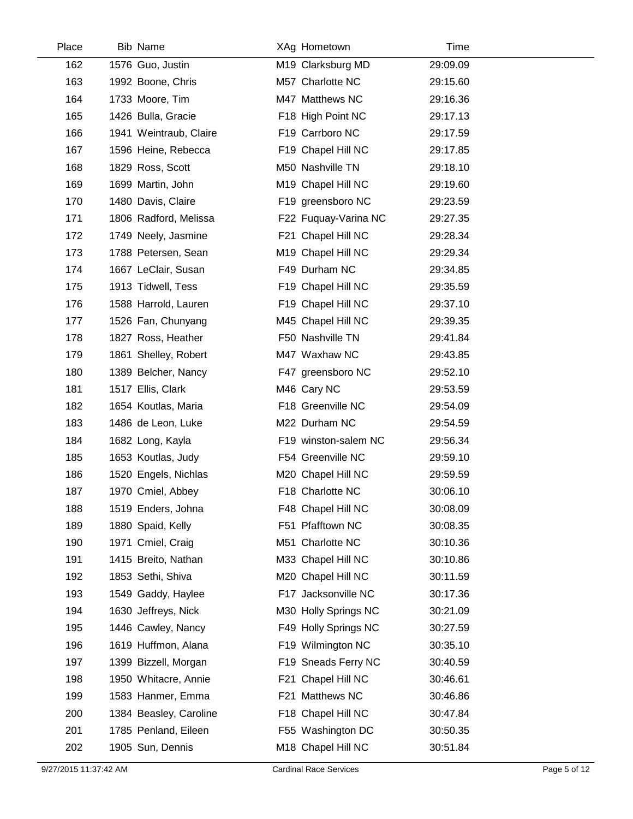| Place | <b>Bib Name</b>        | XAg Hometown         | Time     |  |
|-------|------------------------|----------------------|----------|--|
| 162   | 1576 Guo, Justin       | M19 Clarksburg MD    | 29:09.09 |  |
| 163   | 1992 Boone, Chris      | M57 Charlotte NC     | 29:15.60 |  |
| 164   | 1733 Moore, Tim        | M47 Matthews NC      | 29:16.36 |  |
| 165   | 1426 Bulla, Gracie     | F18 High Point NC    | 29:17.13 |  |
| 166   | 1941 Weintraub, Claire | F19 Carrboro NC      | 29:17.59 |  |
| 167   | 1596 Heine, Rebecca    | F19 Chapel Hill NC   | 29:17.85 |  |
| 168   | 1829 Ross, Scott       | M50 Nashville TN     | 29:18.10 |  |
| 169   | 1699 Martin, John      | M19 Chapel Hill NC   | 29:19.60 |  |
| 170   | 1480 Davis, Claire     | F19 greensboro NC    | 29:23.59 |  |
| 171   | 1806 Radford, Melissa  | F22 Fuquay-Varina NC | 29:27.35 |  |
| 172   | 1749 Neely, Jasmine    | F21 Chapel Hill NC   | 29:28.34 |  |
| 173   | 1788 Petersen, Sean    | M19 Chapel Hill NC   | 29:29.34 |  |
| 174   | 1667 LeClair, Susan    | F49 Durham NC        | 29:34.85 |  |
| 175   | 1913 Tidwell, Tess     | F19 Chapel Hill NC   | 29:35.59 |  |
| 176   | 1588 Harrold, Lauren   | F19 Chapel Hill NC   | 29:37.10 |  |
| 177   | 1526 Fan, Chunyang     | M45 Chapel Hill NC   | 29:39.35 |  |
| 178   | 1827 Ross, Heather     | F50 Nashville TN     | 29:41.84 |  |
| 179   | 1861 Shelley, Robert   | M47 Waxhaw NC        | 29:43.85 |  |
| 180   | 1389 Belcher, Nancy    | F47 greensboro NC    | 29:52.10 |  |
| 181   | 1517 Ellis, Clark      | M46 Cary NC          | 29:53.59 |  |
| 182   | 1654 Koutlas, Maria    | F18 Greenville NC    | 29:54.09 |  |
| 183   | 1486 de Leon, Luke     | M22 Durham NC        | 29:54.59 |  |
| 184   | 1682 Long, Kayla       | F19 winston-salem NC | 29:56.34 |  |
| 185   | 1653 Koutlas, Judy     | F54 Greenville NC    | 29:59.10 |  |
| 186   | 1520 Engels, Nichlas   | M20 Chapel Hill NC   | 29:59.59 |  |
| 187   | 1970 Cmiel, Abbey      | F18 Charlotte NC     | 30:06.10 |  |
| 188   | 1519 Enders, Johna     | F48 Chapel Hill NC   | 30:08.09 |  |
| 189   | 1880 Spaid, Kelly      | F51 Pfafftown NC     | 30:08.35 |  |
| 190   | 1971 Cmiel, Craig      | M51 Charlotte NC     | 30:10.36 |  |
| 191   | 1415 Breito, Nathan    | M33 Chapel Hill NC   | 30:10.86 |  |
| 192   | 1853 Sethi, Shiva      | M20 Chapel Hill NC   | 30:11.59 |  |
| 193   | 1549 Gaddy, Haylee     | F17 Jacksonville NC  | 30:17.36 |  |
| 194   | 1630 Jeffreys, Nick    | M30 Holly Springs NC | 30:21.09 |  |
| 195   | 1446 Cawley, Nancy     | F49 Holly Springs NC | 30:27.59 |  |
| 196   | 1619 Huffmon, Alana    | F19 Wilmington NC    | 30:35.10 |  |
| 197   | 1399 Bizzell, Morgan   | F19 Sneads Ferry NC  | 30:40.59 |  |
| 198   | 1950 Whitacre, Annie   | F21 Chapel Hill NC   | 30:46.61 |  |
| 199   | 1583 Hanmer, Emma      | F21 Matthews NC      | 30:46.86 |  |
| 200   | 1384 Beasley, Caroline | F18 Chapel Hill NC   | 30:47.84 |  |
| 201   | 1785 Penland, Eileen   | F55 Washington DC    | 30:50.35 |  |
| 202   | 1905 Sun, Dennis       | M18 Chapel Hill NC   | 30:51.84 |  |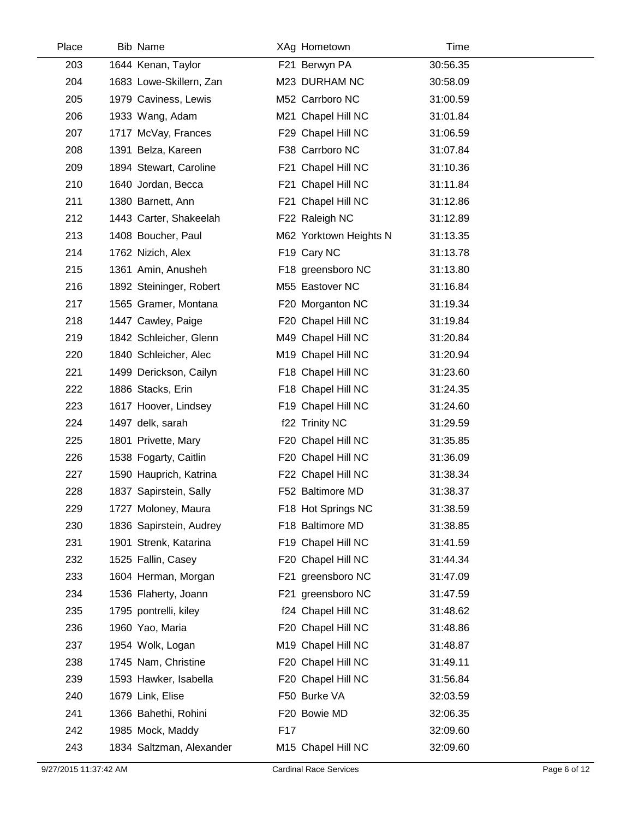| Place | <b>Bib Name</b>          | XAg Hometown           | Time     |  |
|-------|--------------------------|------------------------|----------|--|
| 203   | 1644 Kenan, Taylor       | F21 Berwyn PA          | 30:56.35 |  |
| 204   | 1683 Lowe-Skillern, Zan  | M23 DURHAM NC          | 30:58.09 |  |
| 205   | 1979 Caviness, Lewis     | M52 Carrboro NC        | 31:00.59 |  |
| 206   | 1933 Wang, Adam          | M21 Chapel Hill NC     | 31:01.84 |  |
| 207   | 1717 McVay, Frances      | F29 Chapel Hill NC     | 31:06.59 |  |
| 208   | 1391 Belza, Kareen       | F38 Carrboro NC        | 31:07.84 |  |
| 209   | 1894 Stewart, Caroline   | F21 Chapel Hill NC     | 31:10.36 |  |
| 210   | 1640 Jordan, Becca       | F21 Chapel Hill NC     | 31:11.84 |  |
| 211   | 1380 Barnett, Ann        | F21 Chapel Hill NC     | 31:12.86 |  |
| 212   | 1443 Carter, Shakeelah   | F22 Raleigh NC         | 31:12.89 |  |
| 213   | 1408 Boucher, Paul       | M62 Yorktown Heights N | 31:13.35 |  |
| 214   | 1762 Nizich, Alex        | F19 Cary NC            | 31:13.78 |  |
| 215   | 1361 Amin, Anusheh       | F18 greensboro NC      | 31:13.80 |  |
| 216   | 1892 Steininger, Robert  | M55 Eastover NC        | 31:16.84 |  |
| 217   | 1565 Gramer, Montana     | F20 Morganton NC       | 31:19.34 |  |
| 218   | 1447 Cawley, Paige       | F20 Chapel Hill NC     | 31:19.84 |  |
| 219   | 1842 Schleicher, Glenn   | M49 Chapel Hill NC     | 31:20.84 |  |
| 220   | 1840 Schleicher, Alec    | M19 Chapel Hill NC     | 31:20.94 |  |
| 221   | 1499 Derickson, Cailyn   | F18 Chapel Hill NC     | 31:23.60 |  |
| 222   | 1886 Stacks, Erin        | F18 Chapel Hill NC     | 31:24.35 |  |
| 223   | 1617 Hoover, Lindsey     | F19 Chapel Hill NC     | 31:24.60 |  |
| 224   | 1497 delk, sarah         | f22 Trinity NC         | 31:29.59 |  |
| 225   | 1801 Privette, Mary      | F20 Chapel Hill NC     | 31:35.85 |  |
| 226   | 1538 Fogarty, Caitlin    | F20 Chapel Hill NC     | 31:36.09 |  |
| 227   | 1590 Hauprich, Katrina   | F22 Chapel Hill NC     | 31:38.34 |  |
| 228   | 1837 Sapirstein, Sally   | F52 Baltimore MD       | 31:38.37 |  |
| 229   | 1727 Moloney, Maura      | F18 Hot Springs NC     | 31:38.59 |  |
| 230   | 1836 Sapirstein, Audrey  | F18 Baltimore MD       | 31:38.85 |  |
| 231   | 1901 Strenk, Katarina    | F19 Chapel Hill NC     | 31:41.59 |  |
| 232   | 1525 Fallin, Casey       | F20 Chapel Hill NC     | 31:44.34 |  |
| 233   | 1604 Herman, Morgan      | F21 greensboro NC      | 31:47.09 |  |
| 234   | 1536 Flaherty, Joann     | F21 greensboro NC      | 31:47.59 |  |
| 235   | 1795 pontrelli, kiley    | f24 Chapel Hill NC     | 31:48.62 |  |
| 236   | 1960 Yao, Maria          | F20 Chapel Hill NC     | 31:48.86 |  |
| 237   | 1954 Wolk, Logan         | M19 Chapel Hill NC     | 31:48.87 |  |
| 238   | 1745 Nam, Christine      | F20 Chapel Hill NC     | 31:49.11 |  |
| 239   | 1593 Hawker, Isabella    | F20 Chapel Hill NC     | 31:56.84 |  |
| 240   | 1679 Link, Elise         | F50 Burke VA           | 32:03.59 |  |
| 241   | 1366 Bahethi, Rohini     | F20 Bowie MD           | 32:06.35 |  |
| 242   | 1985 Mock, Maddy         | F17                    | 32:09.60 |  |
| 243   | 1834 Saltzman, Alexander | M15 Chapel Hill NC     | 32:09.60 |  |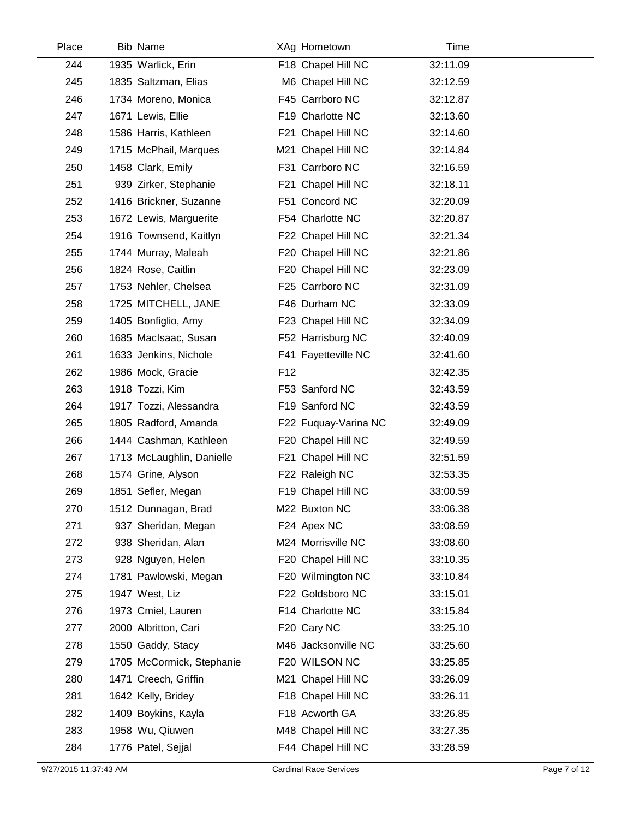| Place | <b>Bib Name</b>           |                 | XAg Hometown         | Time     |  |
|-------|---------------------------|-----------------|----------------------|----------|--|
| 244   | 1935 Warlick, Erin        |                 | F18 Chapel Hill NC   | 32:11.09 |  |
| 245   | 1835 Saltzman, Elias      |                 | M6 Chapel Hill NC    | 32:12.59 |  |
| 246   | 1734 Moreno, Monica       |                 | F45 Carrboro NC      | 32:12.87 |  |
| 247   | 1671 Lewis, Ellie         |                 | F19 Charlotte NC     | 32:13.60 |  |
| 248   | 1586 Harris, Kathleen     |                 | F21 Chapel Hill NC   | 32:14.60 |  |
| 249   | 1715 McPhail, Marques     |                 | M21 Chapel Hill NC   | 32:14.84 |  |
| 250   | 1458 Clark, Emily         |                 | F31 Carrboro NC      | 32:16.59 |  |
| 251   | 939 Zirker, Stephanie     |                 | F21 Chapel Hill NC   | 32:18.11 |  |
| 252   | 1416 Brickner, Suzanne    |                 | F51 Concord NC       | 32:20.09 |  |
| 253   | 1672 Lewis, Marguerite    |                 | F54 Charlotte NC     | 32:20.87 |  |
| 254   | 1916 Townsend, Kaitlyn    |                 | F22 Chapel Hill NC   | 32:21.34 |  |
| 255   | 1744 Murray, Maleah       |                 | F20 Chapel Hill NC   | 32:21.86 |  |
| 256   | 1824 Rose, Caitlin        |                 | F20 Chapel Hill NC   | 32:23.09 |  |
| 257   | 1753 Nehler, Chelsea      |                 | F25 Carrboro NC      | 32:31.09 |  |
| 258   | 1725 MITCHELL, JANE       |                 | F46 Durham NC        | 32:33.09 |  |
| 259   | 1405 Bonfiglio, Amy       |                 | F23 Chapel Hill NC   | 32:34.09 |  |
| 260   | 1685 MacIsaac, Susan      |                 | F52 Harrisburg NC    | 32:40.09 |  |
| 261   | 1633 Jenkins, Nichole     |                 | F41 Fayetteville NC  | 32:41.60 |  |
| 262   | 1986 Mock, Gracie         | F <sub>12</sub> |                      | 32:42.35 |  |
| 263   | 1918 Tozzi, Kim           |                 | F53 Sanford NC       | 32:43.59 |  |
| 264   | 1917 Tozzi, Alessandra    |                 | F19 Sanford NC       | 32:43.59 |  |
| 265   | 1805 Radford, Amanda      |                 | F22 Fuquay-Varina NC | 32:49.09 |  |
| 266   | 1444 Cashman, Kathleen    |                 | F20 Chapel Hill NC   | 32:49.59 |  |
| 267   | 1713 McLaughlin, Danielle |                 | F21 Chapel Hill NC   | 32:51.59 |  |
| 268   | 1574 Grine, Alyson        |                 | F22 Raleigh NC       | 32:53.35 |  |
| 269   | 1851 Sefler, Megan        |                 | F19 Chapel Hill NC   | 33:00.59 |  |
| 270   | 1512 Dunnagan, Brad       |                 | M22 Buxton NC        | 33:06.38 |  |
| 271   | 937 Sheridan, Megan       |                 | F24 Apex NC          | 33:08.59 |  |
| 272   | 938 Sheridan, Alan        |                 | M24 Morrisville NC   | 33:08.60 |  |
| 273   | 928 Nguyen, Helen         |                 | F20 Chapel Hill NC   | 33:10.35 |  |
| 274   | 1781 Pawlowski, Megan     |                 | F20 Wilmington NC    | 33:10.84 |  |
| 275   | 1947 West, Liz            |                 | F22 Goldsboro NC     | 33:15.01 |  |
| 276   | 1973 Cmiel, Lauren        |                 | F14 Charlotte NC     | 33:15.84 |  |
| 277   | 2000 Albritton, Cari      |                 | F20 Cary NC          | 33:25.10 |  |
| 278   | 1550 Gaddy, Stacy         |                 | M46 Jacksonville NC  | 33:25.60 |  |
| 279   | 1705 McCormick, Stephanie |                 | F20 WILSON NC        | 33:25.85 |  |
| 280   | 1471 Creech, Griffin      |                 | M21 Chapel Hill NC   | 33:26.09 |  |
| 281   | 1642 Kelly, Bridey        |                 | F18 Chapel Hill NC   | 33:26.11 |  |
| 282   | 1409 Boykins, Kayla       |                 | F18 Acworth GA       | 33:26.85 |  |
| 283   | 1958 Wu, Qiuwen           |                 | M48 Chapel Hill NC   | 33:27.35 |  |
| 284   | 1776 Patel, Sejjal        |                 | F44 Chapel Hill NC   | 33:28.59 |  |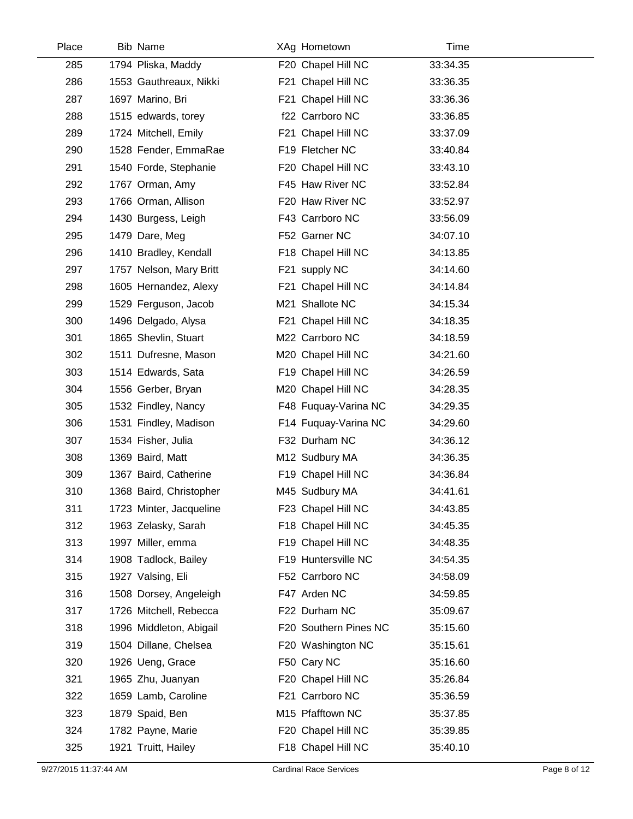| Place | <b>Bib Name</b>         | XAg Hometown          | Time     |  |
|-------|-------------------------|-----------------------|----------|--|
| 285   | 1794 Pliska, Maddy      | F20 Chapel Hill NC    | 33:34.35 |  |
| 286   | 1553 Gauthreaux, Nikki  | F21 Chapel Hill NC    | 33:36.35 |  |
| 287   | 1697 Marino, Bri        | F21 Chapel Hill NC    | 33:36.36 |  |
| 288   | 1515 edwards, torey     | f22 Carrboro NC       | 33:36.85 |  |
| 289   | 1724 Mitchell, Emily    | F21 Chapel Hill NC    | 33:37.09 |  |
| 290   | 1528 Fender, EmmaRae    | F19 Fletcher NC       | 33:40.84 |  |
| 291   | 1540 Forde, Stephanie   | F20 Chapel Hill NC    | 33:43.10 |  |
| 292   | 1767 Orman, Amy         | F45 Haw River NC      | 33:52.84 |  |
| 293   | 1766 Orman, Allison     | F20 Haw River NC      | 33:52.97 |  |
| 294   | 1430 Burgess, Leigh     | F43 Carrboro NC       | 33:56.09 |  |
| 295   | 1479 Dare, Meg          | F52 Garner NC         | 34:07.10 |  |
| 296   | 1410 Bradley, Kendall   | F18 Chapel Hill NC    | 34:13.85 |  |
| 297   | 1757 Nelson, Mary Britt | F21 supply NC         | 34:14.60 |  |
| 298   | 1605 Hernandez, Alexy   | F21 Chapel Hill NC    | 34:14.84 |  |
| 299   | 1529 Ferguson, Jacob    | M21 Shallote NC       | 34:15.34 |  |
| 300   | 1496 Delgado, Alysa     | F21 Chapel Hill NC    | 34:18.35 |  |
| 301   | 1865 Shevlin, Stuart    | M22 Carrboro NC       | 34:18.59 |  |
| 302   | 1511 Dufresne, Mason    | M20 Chapel Hill NC    | 34:21.60 |  |
| 303   | 1514 Edwards, Sata      | F19 Chapel Hill NC    | 34:26.59 |  |
| 304   | 1556 Gerber, Bryan      | M20 Chapel Hill NC    | 34:28.35 |  |
| 305   | 1532 Findley, Nancy     | F48 Fuquay-Varina NC  | 34:29.35 |  |
| 306   | 1531 Findley, Madison   | F14 Fuquay-Varina NC  | 34:29.60 |  |
| 307   | 1534 Fisher, Julia      | F32 Durham NC         | 34:36.12 |  |
| 308   | 1369 Baird, Matt        | M12 Sudbury MA        | 34:36.35 |  |
| 309   | 1367 Baird, Catherine   | F19 Chapel Hill NC    | 34:36.84 |  |
| 310   | 1368 Baird, Christopher | M45 Sudbury MA        | 34:41.61 |  |
| 311   | 1723 Minter, Jacqueline | F23 Chapel Hill NC    | 34:43.85 |  |
| 312   | 1963 Zelasky, Sarah     | F18 Chapel Hill NC    | 34:45.35 |  |
| 313   | 1997 Miller, emma       | F19 Chapel Hill NC    | 34:48.35 |  |
| 314   | 1908 Tadlock, Bailey    | F19 Huntersville NC   | 34:54.35 |  |
| 315   | 1927 Valsing, Eli       | F52 Carrboro NC       | 34:58.09 |  |
| 316   | 1508 Dorsey, Angeleigh  | F47 Arden NC          | 34:59.85 |  |
| 317   | 1726 Mitchell, Rebecca  | F22 Durham NC         | 35:09.67 |  |
| 318   | 1996 Middleton, Abigail | F20 Southern Pines NC | 35:15.60 |  |
| 319   | 1504 Dillane, Chelsea   | F20 Washington NC     | 35:15.61 |  |
| 320   | 1926 Ueng, Grace        | F50 Cary NC           | 35:16.60 |  |
| 321   | 1965 Zhu, Juanyan       | F20 Chapel Hill NC    | 35:26.84 |  |
| 322   | 1659 Lamb, Caroline     | F21 Carrboro NC       | 35:36.59 |  |
| 323   | 1879 Spaid, Ben         | M15 Pfafftown NC      | 35:37.85 |  |
| 324   | 1782 Payne, Marie       | F20 Chapel Hill NC    | 35:39.85 |  |
| 325   | 1921 Truitt, Hailey     | F18 Chapel Hill NC    | 35:40.10 |  |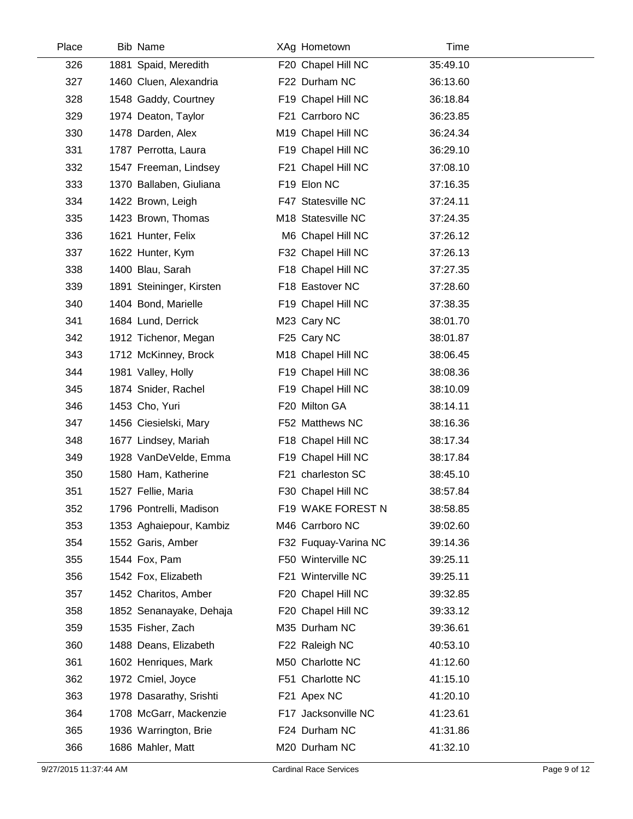| Place | <b>Bib Name</b>          | XAg Hometown         | Time     |  |
|-------|--------------------------|----------------------|----------|--|
| 326   | 1881 Spaid, Meredith     | F20 Chapel Hill NC   | 35:49.10 |  |
| 327   | 1460 Cluen, Alexandria   | F22 Durham NC        | 36:13.60 |  |
| 328   | 1548 Gaddy, Courtney     | F19 Chapel Hill NC   | 36:18.84 |  |
| 329   | 1974 Deaton, Taylor      | F21 Carrboro NC      | 36:23.85 |  |
| 330   | 1478 Darden, Alex        | M19 Chapel Hill NC   | 36:24.34 |  |
| 331   | 1787 Perrotta, Laura     | F19 Chapel Hill NC   | 36:29.10 |  |
| 332   | 1547 Freeman, Lindsey    | F21 Chapel Hill NC   | 37:08.10 |  |
| 333   | 1370 Ballaben, Giuliana  | F19 Elon NC          | 37:16.35 |  |
| 334   | 1422 Brown, Leigh        | F47 Statesville NC   | 37:24.11 |  |
| 335   | 1423 Brown, Thomas       | M18 Statesville NC   | 37:24.35 |  |
| 336   | 1621 Hunter, Felix       | M6 Chapel Hill NC    | 37:26.12 |  |
| 337   | 1622 Hunter, Kym         | F32 Chapel Hill NC   | 37:26.13 |  |
| 338   | 1400 Blau, Sarah         | F18 Chapel Hill NC   | 37:27.35 |  |
| 339   | 1891 Steininger, Kirsten | F18 Eastover NC      | 37:28.60 |  |
| 340   | 1404 Bond, Marielle      | F19 Chapel Hill NC   | 37:38.35 |  |
| 341   | 1684 Lund, Derrick       | M23 Cary NC          | 38:01.70 |  |
| 342   | 1912 Tichenor, Megan     | F25 Cary NC          | 38:01.87 |  |
| 343   | 1712 McKinney, Brock     | M18 Chapel Hill NC   | 38:06.45 |  |
| 344   | 1981 Valley, Holly       | F19 Chapel Hill NC   | 38:08.36 |  |
| 345   | 1874 Snider, Rachel      | F19 Chapel Hill NC   | 38:10.09 |  |
| 346   | 1453 Cho, Yuri           | F20 Milton GA        | 38:14.11 |  |
| 347   | 1456 Ciesielski, Mary    | F52 Matthews NC      | 38:16.36 |  |
| 348   | 1677 Lindsey, Mariah     | F18 Chapel Hill NC   | 38:17.34 |  |
| 349   | 1928 VanDeVelde, Emma    | F19 Chapel Hill NC   | 38:17.84 |  |
| 350   | 1580 Ham, Katherine      | F21 charleston SC    | 38:45.10 |  |
| 351   | 1527 Fellie, Maria       | F30 Chapel Hill NC   | 38:57.84 |  |
| 352   | 1796 Pontrelli, Madison  | F19 WAKE FOREST N    | 38:58.85 |  |
| 353   | 1353 Aghaiepour, Kambiz  | M46 Carrboro NC      | 39:02.60 |  |
| 354   | 1552 Garis, Amber        | F32 Fuquay-Varina NC | 39:14.36 |  |
| 355   | 1544 Fox, Pam            | F50 Winterville NC   | 39:25.11 |  |
| 356   | 1542 Fox, Elizabeth      | F21 Winterville NC   | 39:25.11 |  |
| 357   | 1452 Charitos, Amber     | F20 Chapel Hill NC   | 39:32.85 |  |
| 358   | 1852 Senanayake, Dehaja  | F20 Chapel Hill NC   | 39:33.12 |  |
| 359   | 1535 Fisher, Zach        | M35 Durham NC        | 39:36.61 |  |
| 360   | 1488 Deans, Elizabeth    | F22 Raleigh NC       | 40:53.10 |  |
| 361   | 1602 Henriques, Mark     | M50 Charlotte NC     | 41:12.60 |  |
| 362   | 1972 Cmiel, Joyce        | F51 Charlotte NC     | 41:15.10 |  |
| 363   | 1978 Dasarathy, Srishti  | F21 Apex NC          | 41:20.10 |  |
| 364   | 1708 McGarr, Mackenzie   | F17 Jacksonville NC  | 41:23.61 |  |
| 365   | 1936 Warrington, Brie    | F24 Durham NC        | 41:31.86 |  |
| 366   | 1686 Mahler, Matt        | M20 Durham NC        | 41:32.10 |  |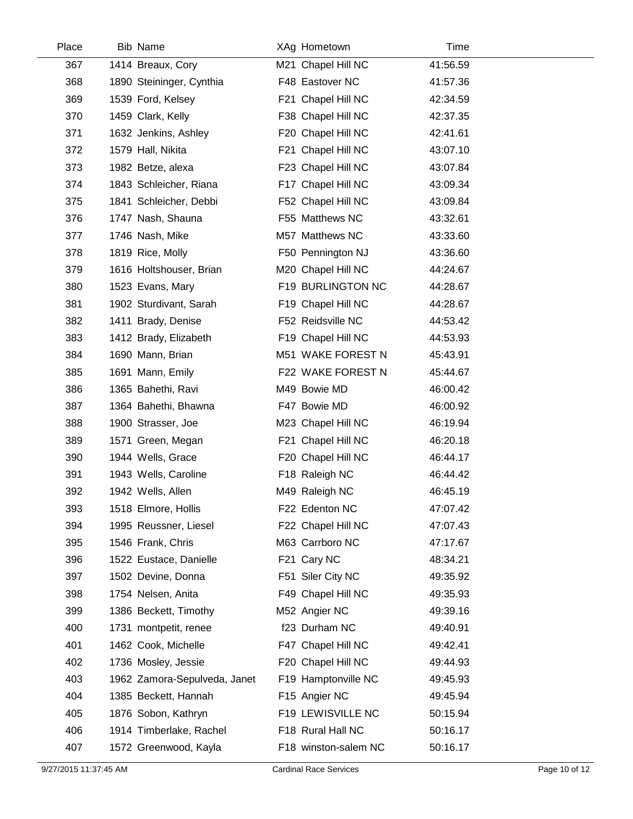| Place | <b>Bib Name</b>              | XAg Hometown         | Time     |  |
|-------|------------------------------|----------------------|----------|--|
| 367   | 1414 Breaux, Cory            | M21 Chapel Hill NC   | 41:56.59 |  |
| 368   | 1890 Steininger, Cynthia     | F48 Eastover NC      | 41:57.36 |  |
| 369   | 1539 Ford, Kelsey            | F21 Chapel Hill NC   | 42:34.59 |  |
| 370   | 1459 Clark, Kelly            | F38 Chapel Hill NC   | 42:37.35 |  |
| 371   | 1632 Jenkins, Ashley         | F20 Chapel Hill NC   | 42:41.61 |  |
| 372   | 1579 Hall, Nikita            | F21 Chapel Hill NC   | 43:07.10 |  |
| 373   | 1982 Betze, alexa            | F23 Chapel Hill NC   | 43:07.84 |  |
| 374   | 1843 Schleicher, Riana       | F17 Chapel Hill NC   | 43:09.34 |  |
| 375   | 1841 Schleicher, Debbi       | F52 Chapel Hill NC   | 43:09.84 |  |
| 376   | 1747 Nash, Shauna            | F55 Matthews NC      | 43:32.61 |  |
| 377   | 1746 Nash, Mike              | M57 Matthews NC      | 43:33.60 |  |
| 378   | 1819 Rice, Molly             | F50 Pennington NJ    | 43:36.60 |  |
| 379   | 1616 Holtshouser, Brian      | M20 Chapel Hill NC   | 44:24.67 |  |
| 380   | 1523 Evans, Mary             | F19 BURLINGTON NC    | 44:28.67 |  |
| 381   | 1902 Sturdivant, Sarah       | F19 Chapel Hill NC   | 44:28.67 |  |
| 382   | 1411 Brady, Denise           | F52 Reidsville NC    | 44:53.42 |  |
| 383   | 1412 Brady, Elizabeth        | F19 Chapel Hill NC   | 44:53.93 |  |
| 384   | 1690 Mann, Brian             | M51 WAKE FOREST N    | 45:43.91 |  |
| 385   | 1691 Mann, Emily             | F22 WAKE FOREST N    | 45:44.67 |  |
| 386   | 1365 Bahethi, Ravi           | M49 Bowie MD         | 46:00.42 |  |
| 387   | 1364 Bahethi, Bhawna         | F47 Bowie MD         | 46:00.92 |  |
| 388   | 1900 Strasser, Joe           | M23 Chapel Hill NC   | 46:19.94 |  |
| 389   | 1571 Green, Megan            | F21 Chapel Hill NC   | 46:20.18 |  |
| 390   | 1944 Wells, Grace            | F20 Chapel Hill NC   | 46:44.17 |  |
| 391   | 1943 Wells, Caroline         | F18 Raleigh NC       | 46:44.42 |  |
| 392   | 1942 Wells, Allen            | M49 Raleigh NC       | 46:45.19 |  |
| 393   | 1518 Elmore, Hollis          | F22 Edenton NC       | 47:07.42 |  |
| 394   | 1995 Reussner, Liesel        | F22 Chapel Hill NC   | 47:07.43 |  |
| 395   | 1546 Frank, Chris            | M63 Carrboro NC      | 47:17.67 |  |
| 396   | 1522 Eustace, Danielle       | F21 Cary NC          | 48:34.21 |  |
| 397   | 1502 Devine, Donna           | F51 Siler City NC    | 49:35.92 |  |
| 398   | 1754 Nelsen, Anita           | F49 Chapel Hill NC   | 49:35.93 |  |
| 399   | 1386 Beckett, Timothy        | M52 Angier NC        | 49:39.16 |  |
| 400   | 1731 montpetit, renee        | f23 Durham NC        | 49:40.91 |  |
| 401   | 1462 Cook, Michelle          | F47 Chapel Hill NC   | 49:42.41 |  |
| 402   | 1736 Mosley, Jessie          | F20 Chapel Hill NC   | 49:44.93 |  |
| 403   | 1962 Zamora-Sepulveda, Janet | F19 Hamptonville NC  | 49:45.93 |  |
| 404   | 1385 Beckett, Hannah         | F15 Angier NC        | 49:45.94 |  |
| 405   | 1876 Sobon, Kathryn          | F19 LEWISVILLE NC    | 50:15.94 |  |
| 406   | 1914 Timberlake, Rachel      | F18 Rural Hall NC    | 50:16.17 |  |
| 407   | 1572 Greenwood, Kayla        | F18 winston-salem NC | 50:16.17 |  |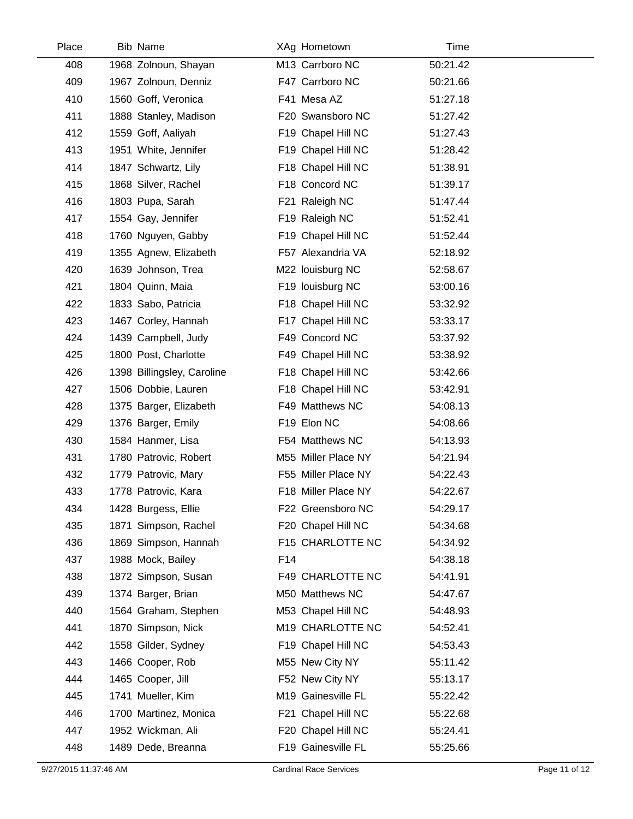| Place | <b>Bib Name</b>            |     | XAg Hometown        | Time     |
|-------|----------------------------|-----|---------------------|----------|
| 408   | 1968 Zolnoun, Shayan       |     | M13 Carrboro NC     | 50:21.42 |
| 409   | 1967 Zolnoun, Denniz       |     | F47 Carrboro NC     | 50:21.66 |
| 410   | 1560 Goff, Veronica        |     | F41 Mesa AZ         | 51:27.18 |
| 411   | 1888 Stanley, Madison      |     | F20 Swansboro NC    | 51:27.42 |
| 412   | 1559 Goff, Aaliyah         |     | F19 Chapel Hill NC  | 51:27.43 |
| 413   | 1951 White, Jennifer       |     | F19 Chapel Hill NC  | 51:28.42 |
| 414   | 1847 Schwartz, Lily        |     | F18 Chapel Hill NC  | 51:38.91 |
| 415   | 1868 Silver, Rachel        |     | F18 Concord NC      | 51:39.17 |
| 416   | 1803 Pupa, Sarah           |     | F21 Raleigh NC      | 51:47.44 |
| 417   | 1554 Gay, Jennifer         |     | F19 Raleigh NC      | 51:52.41 |
| 418   | 1760 Nguyen, Gabby         |     | F19 Chapel Hill NC  | 51:52.44 |
| 419   | 1355 Agnew, Elizabeth      |     | F57 Alexandria VA   | 52:18.92 |
| 420   | 1639 Johnson, Trea         |     | M22 louisburg NC    | 52:58.67 |
| 421   | 1804 Quinn, Maia           |     | F19 louisburg NC    | 53:00.16 |
| 422   | 1833 Sabo, Patricia        |     | F18 Chapel Hill NC  | 53:32.92 |
| 423   | 1467 Corley, Hannah        |     | F17 Chapel Hill NC  | 53:33.17 |
| 424   | 1439 Campbell, Judy        |     | F49 Concord NC      | 53:37.92 |
| 425   | 1800 Post, Charlotte       |     | F49 Chapel Hill NC  | 53:38.92 |
| 426   | 1398 Billingsley, Caroline |     | F18 Chapel Hill NC  | 53:42.66 |
| 427   | 1506 Dobbie, Lauren        |     | F18 Chapel Hill NC  | 53:42.91 |
| 428   | 1375 Barger, Elizabeth     |     | F49 Matthews NC     | 54:08.13 |
| 429   | 1376 Barger, Emily         |     | F19 Elon NC         | 54:08.66 |
| 430   | 1584 Hanmer, Lisa          |     | F54 Matthews NC     | 54:13.93 |
| 431   | 1780 Patrovic, Robert      |     | M55 Miller Place NY | 54:21.94 |
| 432   | 1779 Patrovic, Mary        |     | F55 Miller Place NY | 54:22.43 |
| 433   | 1778 Patrovic, Kara        |     | F18 Miller Place NY | 54:22.67 |
| 434   | 1428 Burgess, Ellie        |     | F22 Greensboro NC   | 54:29.17 |
| 435   | 1871 Simpson, Rachel       |     | F20 Chapel Hill NC  | 54:34.68 |
| 436   | 1869 Simpson, Hannah       |     | F15 CHARLOTTE NC    | 54:34.92 |
| 437   | 1988 Mock, Bailey          | F14 |                     | 54:38.18 |
| 438   | 1872 Simpson, Susan        |     | F49 CHARLOTTE NC    | 54:41.91 |
| 439   | 1374 Barger, Brian         |     | M50 Matthews NC     | 54:47.67 |
| 440   | 1564 Graham, Stephen       |     | M53 Chapel Hill NC  | 54:48.93 |
| 441   | 1870 Simpson, Nick         |     | M19 CHARLOTTE NC    | 54:52.41 |
| 442   | 1558 Gilder, Sydney        |     | F19 Chapel Hill NC  | 54:53.43 |
| 443   | 1466 Cooper, Rob           |     | M55 New City NY     | 55:11.42 |
| 444   | 1465 Cooper, Jill          |     | F52 New City NY     | 55:13.17 |
| 445   | 1741 Mueller, Kim          |     | M19 Gainesville FL  | 55:22.42 |
| 446   | 1700 Martinez, Monica      |     | F21 Chapel Hill NC  | 55:22.68 |
| 447   | 1952 Wickman, Ali          |     | F20 Chapel Hill NC  | 55:24.41 |
| 448   | 1489 Dede, Breanna         |     | F19 Gainesville FL  | 55:25.66 |